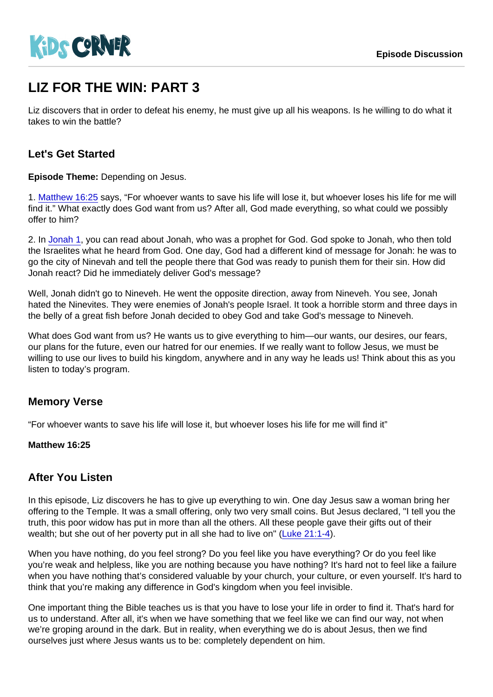# LIZ FOR THE WIN: PART 3

Liz discovers that in order to defeat his enemy, he must give up all his weapons. Is he willing to do what it takes to win the battle?

## Let's Get Started

Episode Theme: Depending on Jesus.

1. [Matthew 16:25](https://www.biblegateway.com/passage/?search=Matthew+16:25) says, "For whoever wants to save his life will lose it, but whoever loses his life for me will find it." What exactly does God want from us? After all, God made everything, so what could we possibly offer to him?

2. In [Jonah 1,](https://www.biblegateway.com/passage/?search=Jonah+1) you can read about Jonah, who was a prophet for God. God spoke to Jonah, who then told the Israelites what he heard from God. One day, God had a different kind of message for Jonah: he was to go the city of Ninevah and tell the people there that God was ready to punish them for their sin. How did Jonah react? Did he immediately deliver God's message?

Well, Jonah didn't go to Nineveh. He went the opposite direction, away from Nineveh. You see, Jonah hated the Ninevites. They were enemies of Jonah's people Israel. It took a horrible storm and three days in the belly of a great fish before Jonah decided to obey God and take God's message to Nineveh.

What does God want from us? He wants us to give everything to him—our wants, our desires, our fears, our plans for the future, even our hatred for our enemies. If we really want to follow Jesus, we must be willing to use our lives to build his kingdom, anywhere and in any way he leads us! Think about this as you listen to today's program.

### Memory Verse

"For whoever wants to save his life will lose it, but whoever loses his life for me will find it"

Matthew 16:25

### After You Listen

In this episode, Liz discovers he has to give up everything to win. One day Jesus saw a woman bring her offering to the Temple. It was a small offering, only two very small coins. But Jesus declared, "I tell you the truth, this poor widow has put in more than all the others. All these people gave their gifts out of their wealth; but she out of her poverty put in all she had to live on" ([Luke 21:1-4\)](https://www.biblegateway.com/passage/?search=Luke+21:1-4).

When you have nothing, do you feel strong? Do you feel like you have everything? Or do you feel like you're weak and helpless, like you are nothing because you have nothing? It's hard not to feel like a failure when you have nothing that's considered valuable by your church, your culture, or even yourself. It's hard to think that you're making any difference in God's kingdom when you feel invisible.

One important thing the Bible teaches us is that you have to lose your life in order to find it. That's hard for us to understand. After all, it's when we have something that we feel like we can find our way, not when we're groping around in the dark. But in reality, when everything we do is about Jesus, then we find ourselves just where Jesus wants us to be: completely dependent on him.